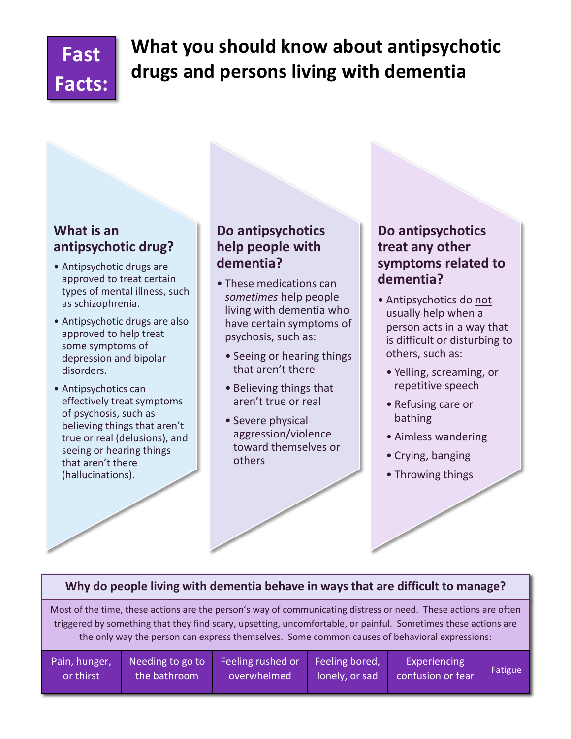

# **What you should know about antipsychotic drugs and persons living with dementia**

## **What is an antipsychotic drug?**

- Antipsychotic drugs are approved to treat certain types of mental illness, such as schizophrenia.
- Antipsychotic drugs are also approved to help treat some symptoms of depression and bipolar disorders.
- Antipsychotics can effectively treat symptoms of psychosis, such as believing things that aren't true or real (delusions), and seeing or hearing things that aren't there (hallucinations).

## **Do antipsychotics help people with dementia?**

- These medications can *sometimes* help people living with dementia who have certain symptoms of psychosis, such as:
	- Seeing or hearing things that aren't there
	- Believing things that aren't true or real
	- Severe physical aggression/violence toward themselves or others

#### **Do antipsychotics treat any other symptoms related to dementia?**

- Antipsychotics do not usually help when a person acts in a way that is difficult or disturbing to others, such as:
	- Yelling, screaming, or repetitive speech
	- Refusing care or bathing
	- Aimless wandering
	- Crying, banging
	- Throwing things

#### **Why do people living with dementia behave in ways that are difficult to manage?**

Most of the time, these actions are the person's way of communicating distress or need. These actions are often triggered by something that they find scary, upsetting, uncomfortable, or painful. Sometimes these actions are the only way the person can express themselves. Some common causes of behavioral expressions:

|           |              | Pain, hunger, Needing to go to Feeling rushed or Feeling bored, | Experiencing                                 | Fatigue |
|-----------|--------------|-----------------------------------------------------------------|----------------------------------------------|---------|
| or thirst | the bathroom |                                                                 | overwhelmed lonely, or sad confusion or fear |         |